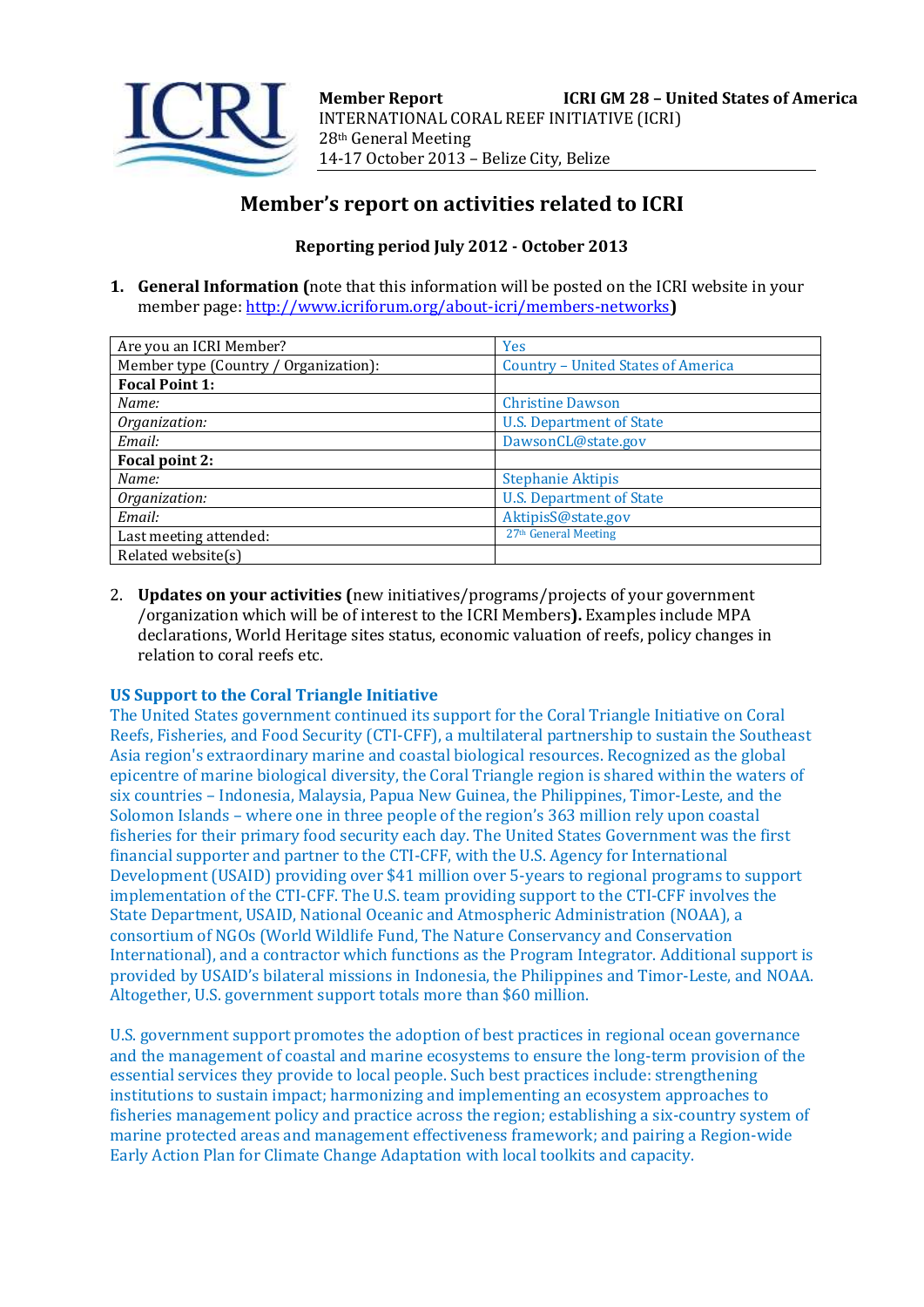

# **Member's report on activities related to ICRI**

# **Reporting period July 2012 - October 2013**

**1. General Information (**note that this information will be posted on the ICRI website in your member page[: http://www.icriforum.org/about-icri/members-networks](http://www.icriforum.org/about-icri/members-networks)**)** 

| Are you an ICRI Member?               | <b>Yes</b>                                |
|---------------------------------------|-------------------------------------------|
| Member type (Country / Organization): | <b>Country - United States of America</b> |
| <b>Focal Point 1:</b>                 |                                           |
| Name:                                 | <b>Christine Dawson</b>                   |
| Organization:                         | <b>U.S. Department of State</b>           |
| Email:                                | DawsonCL@state.gov                        |
| Focal point 2:                        |                                           |
| Name:                                 | <b>Stephanie Aktipis</b>                  |
| Organization:                         | <b>U.S. Department of State</b>           |
| Email:                                | AktipisS@state.gov                        |
| Last meeting attended:                | 27 <sup>th</sup> General Meeting          |
| Related website(s)                    |                                           |

2. **Updates on your activities (**new initiatives/programs/projects of your government /organization which will be of interest to the ICRI Members**).** Examples include MPA declarations, World Heritage sites status, economic valuation of reefs, policy changes in relation to coral reefs etc.

# **US Support to the Coral Triangle Initiative**

The United States government continued its support for the Coral Triangle Initiative on Coral Reefs, Fisheries, and Food Security (CTI-CFF), a multilateral partnership to sustain the Southeast Asia region's extraordinary marine and coastal biological resources. Recognized as the global epicentre of marine biological diversity, the Coral Triangle region is shared within the waters of six countries – Indonesia, Malaysia, Papua New Guinea, the Philippines, Timor-Leste, and the Solomon Islands – where one in three people of the region's 363 million rely upon coastal fisheries for their primary food security each day. The United States Government was the first financial supporter and partner to the CTI-CFF, with the U.S. Agency for International Development (USAID) providing over \$41 million over 5-years to regional programs to support implementation of the CTI-CFF. The U.S. team providing support to the CTI-CFF involves the State Department, USAID, National Oceanic and Atmospheric Administration (NOAA), a consortium of NGOs (World Wildlife Fund, The Nature Conservancy and Conservation International), and a contractor which functions as the Program Integrator. Additional support is provided by USAID's bilateral missions in Indonesia, the Philippines and Timor-Leste, and NOAA. Altogether, U.S. government support totals more than \$60 million.

U.S. government support promotes the adoption of best practices in regional ocean governance and the management of coastal and marine ecosystems to ensure the long-term provision of the essential services they provide to local people. Such best practices include: strengthening institutions to sustain impact; harmonizing and implementing an ecosystem approaches to fisheries management policy and practice across the region; establishing a six-country system of marine protected areas and management effectiveness framework; and pairing a Region-wide Early Action Plan for Climate Change Adaptation with local toolkits and capacity.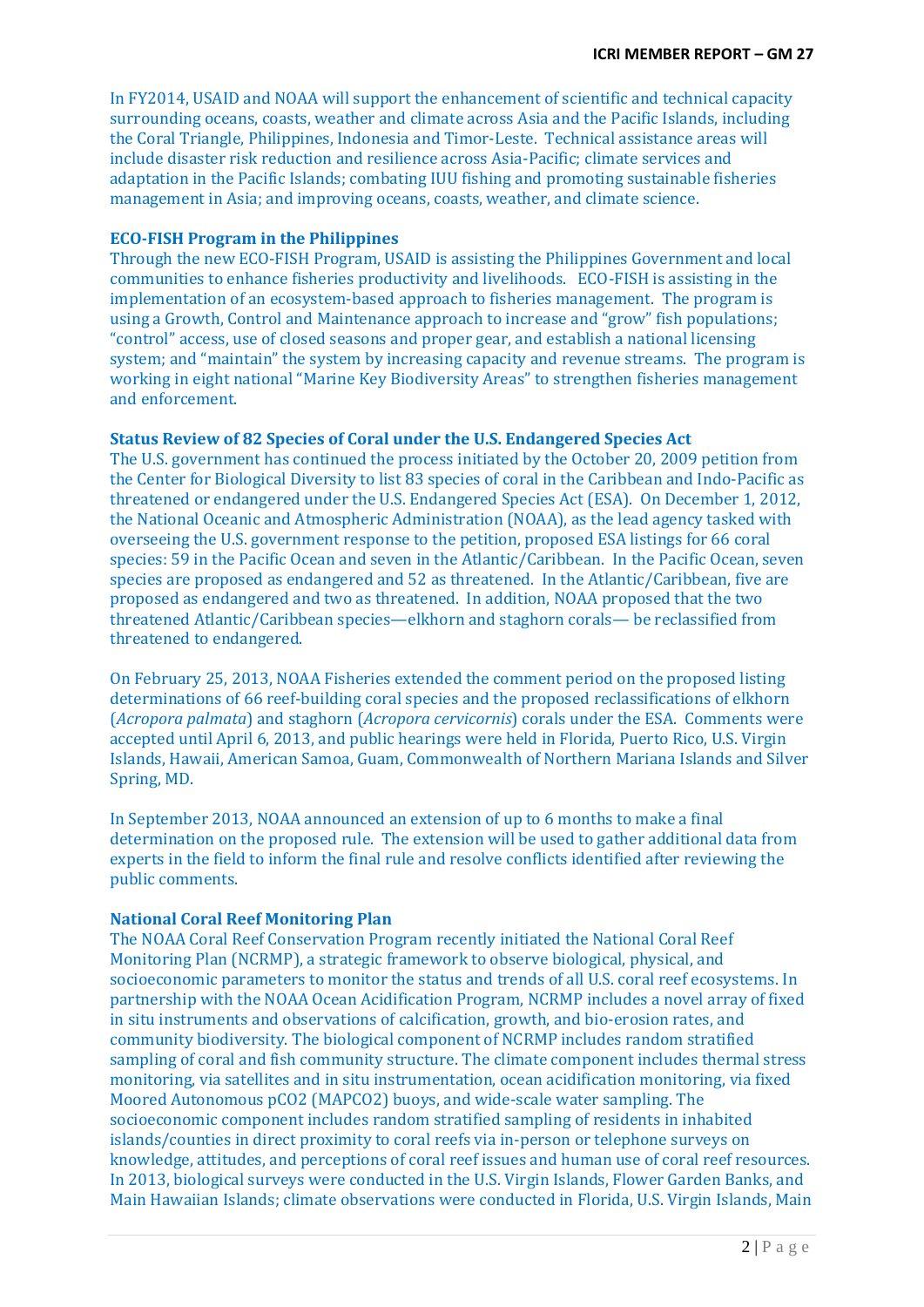In FY2014, USAID and NOAA will support the enhancement of scientific and technical capacity surrounding oceans, coasts, weather and climate across Asia and the Pacific Islands, including the Coral Triangle, Philippines, Indonesia and Timor-Leste. Technical assistance areas will include disaster risk reduction and resilience across Asia-Pacific; climate services and adaptation in the Pacific Islands; combating IUU fishing and promoting sustainable fisheries management in Asia; and improving oceans, coasts, weather, and climate science.

### **ECO-FISH Program in the Philippines**

Through the new ECO-FISH Program, USAID is assisting the Philippines Government and local communities to enhance fisheries productivity and livelihoods. ECO-FISH is assisting in the implementation of an ecosystem-based approach to fisheries management. The program is using a Growth, Control and Maintenance approach to increase and "grow" fish populations; "control" access, use of closed seasons and proper gear, and establish a national licensing system; and "maintain" the system by increasing capacity and revenue streams. The program is working in eight national "Marine Key Biodiversity Areas" to strengthen fisheries management and enforcement.

### **Status Review of 82 Species of Coral under the U.S. Endangered Species Act**

The U.S. government has continued the process initiated by the October 20, 2009 petition from the Center for Biological Diversity to list 83 species of coral in the Caribbean and Indo-Pacific as threatened or endangered under the U.S. Endangered Species Act (ESA). On December 1, 2012, the National Oceanic and Atmospheric Administration (NOAA), as the lead agency tasked with overseeing the U.S. government response to the petition, proposed ESA listings for 66 coral species: 59 in the Pacific Ocean and seven in the Atlantic/Caribbean. In the Pacific Ocean, seven species are proposed as endangered and 52 as threatened. In the Atlantic/Caribbean, five are proposed as endangered and two as threatened. In addition, NOAA proposed that the two threatened Atlantic/Caribbean species—elkhorn and staghorn corals— be reclassified from threatened to endangered.

On February 25, 2013, NOAA Fisheries extended the comment period on the proposed listing determinations of 66 reef-building coral species and the proposed reclassifications of elkhorn (*Acropora palmata*) and staghorn (*Acropora cervicornis*) corals under the ESA. Comments were accepted until April 6, 2013, and public hearings were held in Florida, Puerto Rico, U.S. Virgin Islands, Hawaii, American Samoa, Guam, Commonwealth of Northern Mariana Islands and Silver Spring, MD.

In September 2013, NOAA announced an extension of up to 6 months to make a final determination on the proposed rule. The extension will be used to gather additional data from experts in the field to inform the final rule and resolve conflicts identified after reviewing the public comments.

# **National Coral Reef Monitoring Plan**

The NOAA Coral Reef Conservation Program recently initiated the National Coral Reef Monitoring Plan (NCRMP), a strategic framework to observe biological, physical, and socioeconomic parameters to monitor the status and trends of all U.S. coral reef ecosystems. In partnership with the NOAA Ocean Acidification Program, NCRMP includes a novel array of fixed in situ instruments and observations of calcification, growth, and bio-erosion rates, and community biodiversity. The biological component of NCRMP includes random stratified sampling of coral and fish community structure. The climate component includes thermal stress monitoring, via satellites and in situ instrumentation, ocean acidification monitoring, via fixed Moored Autonomous pCO2 (MAPCO2) buoys, and wide-scale water sampling. The socioeconomic component includes random stratified sampling of residents in inhabited islands/counties in direct proximity to coral reefs via in-person or telephone surveys on knowledge, attitudes, and perceptions of coral reef issues and human use of coral reef resources. In 2013, biological surveys were conducted in the U.S. Virgin Islands, Flower Garden Banks, and Main Hawaiian Islands; climate observations were conducted in Florida, U.S. Virgin Islands, Main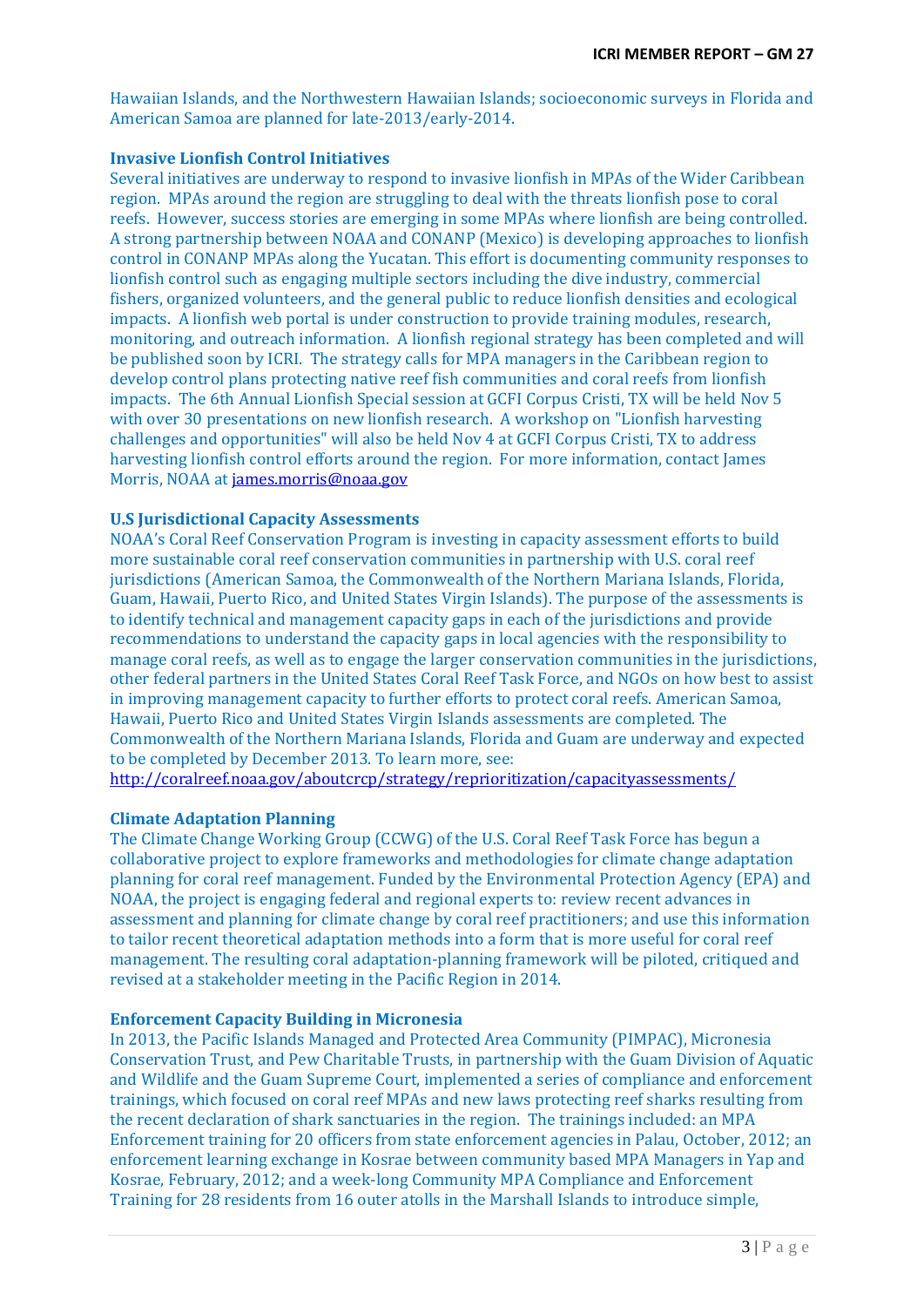Hawaiian Islands, and the Northwestern Hawaiian Islands; socioeconomic surveys in Florida and American Samoa are planned for late-2013/early-2014.

### **Invasive Lionfish Control Initiatives**

Several initiatives are underway to respond to invasive lionfish in MPAs of the Wider Caribbean region. MPAs around the region are struggling to deal with the threats lionfish pose to coral reefs. However, success stories are emerging in some MPAs where lionfish are being controlled. A strong partnership between NOAA and CONANP (Mexico) is developing approaches to lionfish control in CONANP MPAs along the Yucatan. This effort is documenting community responses to lionfish control such as engaging multiple sectors including the dive industry, commercial fishers, organized volunteers, and the general public to reduce lionfish densities and ecological impacts. A lionfish web portal is under construction to provide training modules, research, monitoring, and outreach information. A lionfish regional strategy has been completed and will be published soon by ICRI. The strategy calls for MPA managers in the Caribbean region to develop control plans protecting native reef fish communities and coral reefs from lionfish impacts. The 6th Annual Lionfish Special session at GCFI Corpus Cristi, TX will be held Nov 5 with over 30 presentations on new lionfish research. A workshop on "Lionfish harvesting challenges and opportunities" will also be held Nov 4 at GCFI Corpus Cristi, TX to address harvesting lionfish control efforts around the region. For more information, contact James Morris, NOAA a[t james.morris@noaa.gov](mailto:james.morris@noaa.gov)

### **U.S Jurisdictional Capacity Assessments**

NOAA's Coral Reef Conservation Program is investing in capacity assessment efforts to build more sustainable coral reef conservation communities in partnership with U.S. coral reef jurisdictions (American Samoa, the Commonwealth of the Northern Mariana Islands, Florida, Guam, Hawaii, Puerto Rico, and United States Virgin Islands). The purpose of the assessments is to identify technical and management capacity gaps in each of the jurisdictions and provide recommendations to understand the capacity gaps in local agencies with the responsibility to manage coral reefs, as well as to engage the larger conservation communities in the jurisdictions, other federal partners in the United States Coral Reef Task Force, and NGOs on how best to assist in improving management capacity to further efforts to protect coral reefs. American Samoa, Hawaii, Puerto Rico and United States Virgin Islands assessments are completed. The Commonwealth of the Northern Mariana Islands, Florida and Guam are underway and expected to be completed by December 2013. To learn more, see:

<http://coralreef.noaa.gov/aboutcrcp/strategy/reprioritization/capacityassessments/>

# **Climate Adaptation Planning**

The Climate Change Working Group (CCWG) of the U.S. Coral Reef Task Force has begun a collaborative project to explore frameworks and methodologies for climate change adaptation planning for coral reef management. Funded by the Environmental Protection Agency (EPA) and NOAA, the project is engaging federal and regional experts to: review recent advances in assessment and planning for climate change by coral reef practitioners; and use this information to tailor recent theoretical adaptation methods into a form that is more useful for coral reef management. The resulting coral adaptation-planning framework will be piloted, critiqued and revised at a stakeholder meeting in the Pacific Region in 2014.

### **Enforcement Capacity Building in Micronesia**

In 2013, the Pacific Islands Managed and Protected Area Community (PIMPAC), Micronesia Conservation Trust, and Pew Charitable Trusts, in partnership with the Guam Division of Aquatic and Wildlife and the Guam Supreme Court, implemented a series of compliance and enforcement trainings, which focused on coral reef MPAs and new laws protecting reef sharks resulting from the recent declaration of shark sanctuaries in the region. The trainings included: an MPA Enforcement training for 20 officers from state enforcement agencies in Palau, October, 2012; an enforcement learning exchange in Kosrae between community based MPA Managers in Yap and Kosrae, February, 2012; and a week-long Community MPA Compliance and Enforcement Training for 28 residents from 16 outer atolls in the Marshall Islands to introduce simple,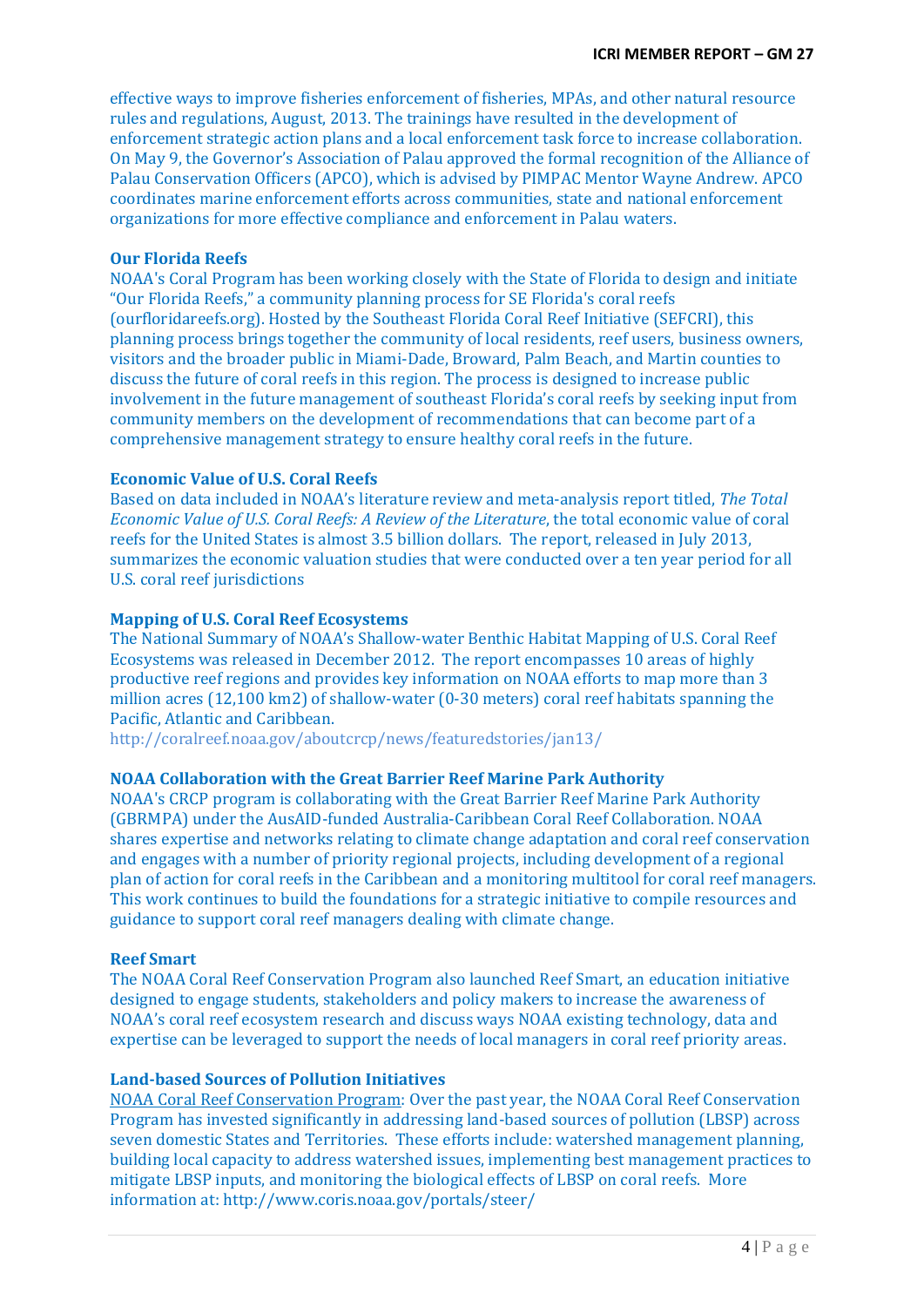effective ways to improve fisheries enforcement of fisheries, MPAs, and other natural resource rules and regulations, August, 2013. The trainings have resulted in the development of enforcement strategic action plans and a local enforcement task force to increase collaboration. On May 9, the Governor's Association of Palau approved the formal recognition of the Alliance of Palau Conservation Officers (APCO), which is advised by PIMPAC Mentor Wayne Andrew. APCO coordinates marine enforcement efforts across communities, state and national enforcement organizations for more effective compliance and enforcement in Palau waters.

### **Our Florida Reefs**

NOAA's Coral Program has been working closely with the State of Florida to design and initiate "Our Florida Reefs," a community planning process for SE Florida's coral reefs (ourfloridareefs.org). Hosted by the Southeast Florida Coral Reef Initiative (SEFCRI), this planning process brings together the community of local residents, reef users, business owners, visitors and the broader public in Miami-Dade, Broward, Palm Beach, and Martin counties to discuss the future of coral reefs in this region. The process is designed to increase public involvement in the future management of southeast Florida's coral reefs by seeking input from community members on the development of recommendations that can become part of a comprehensive management strategy to ensure healthy coral reefs in the future.

### **Economic Value of U.S. Coral Reefs**

Based on data included in NOAA's literature review and meta-analysis report titled, *The Total Economic Value of U.S. Coral Reefs: A Review of the Literature*, the total economic value of coral reefs for the United States is almost 3.5 billion dollars. The report, released in July 2013, summarizes the economic valuation studies that were conducted over a ten year period for all U.S. coral reef jurisdictions

### **Mapping of U.S. Coral Reef Ecosystems**

The National Summary of NOAA's Shallow-water Benthic Habitat Mapping of U.S. Coral Reef Ecosystems was released in December 2012. The report encompasses 10 areas of highly productive reef regions and provides key information on NOAA efforts to map more than 3 million acres (12,100 km2) of shallow-water (0-30 meters) coral reef habitats spanning the Pacific, Atlantic and Caribbean.

http://coralreef.noaa.gov/aboutcrcp/news/featuredstories/jan13/

# **NOAA Collaboration with the Great Barrier Reef Marine Park Authority**

NOAA's CRCP program is collaborating with the Great Barrier Reef Marine Park Authority (GBRMPA) under the AusAID-funded Australia-Caribbean Coral Reef Collaboration. NOAA shares expertise and networks relating to climate change adaptation and coral reef conservation and engages with a number of priority regional projects, including development of a regional plan of action for coral reefs in the Caribbean and a monitoring multitool for coral reef managers. This work continues to build the foundations for a strategic initiative to compile resources and guidance to support coral reef managers dealing with climate change.

### **Reef Smart**

The NOAA Coral Reef Conservation Program also launched Reef Smart, an education initiative designed to engage students, stakeholders and policy makers to increase the awareness of NOAA's coral reef ecosystem research and discuss ways NOAA existing technology, data and expertise can be leveraged to support the needs of local managers in coral reef priority areas.

# **Land-based Sources of Pollution Initiatives**

NOAA Coral Reef Conservation Program: Over the past year, the NOAA Coral Reef Conservation Program has invested significantly in addressing land-based sources of pollution (LBSP) across seven domestic States and Territories. These efforts include: watershed management planning, building local capacity to address watershed issues, implementing best management practices to mitigate LBSP inputs, and monitoring the biological effects of LBSP on coral reefs. More information at: http://www.coris.noaa.gov/portals/steer/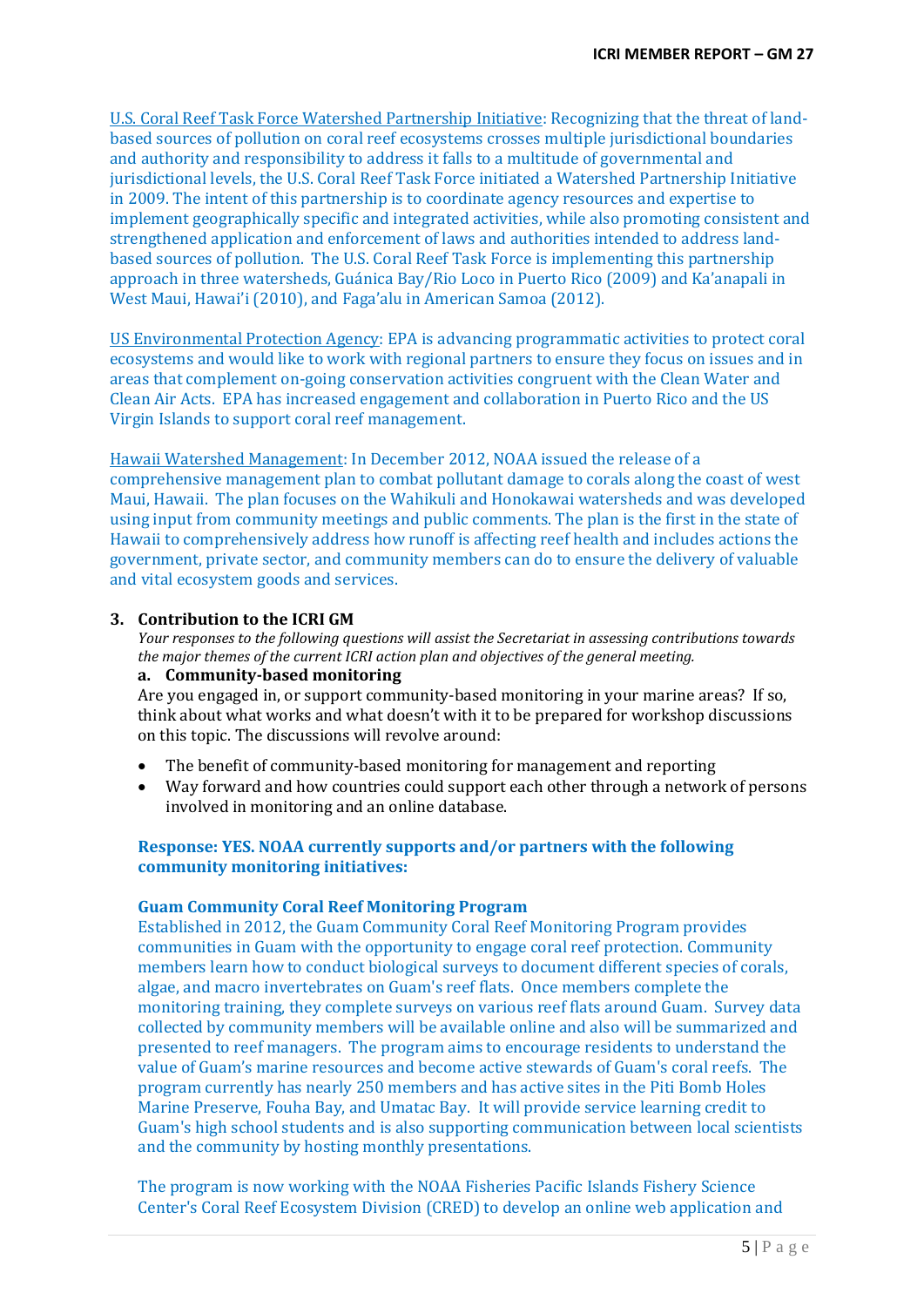U.S. Coral Reef Task Force Watershed Partnership Initiative: Recognizing that the threat of landbased sources of pollution on coral reef ecosystems crosses multiple jurisdictional boundaries and authority and responsibility to address it falls to a multitude of governmental and jurisdictional levels, the U.S. Coral Reef Task Force initiated a Watershed Partnership Initiative in 2009. The intent of this partnership is to coordinate agency resources and expertise to implement geographically specific and integrated activities, while also promoting consistent and strengthened application and enforcement of laws and authorities intended to address landbased sources of pollution. The U.S. Coral Reef Task Force is implementing this partnership approach in three watersheds, Guánica Bay/Rio Loco in Puerto Rico (2009) and Ka'anapali in West Maui, Hawai'i (2010), and Faga'alu in American Samoa (2012).

US Environmental Protection Agency: EPA is advancing programmatic activities to protect coral ecosystems and would like to work with regional partners to ensure they focus on issues and in areas that complement on-going conservation activities congruent with the Clean Water and Clean Air Acts. EPA has increased engagement and collaboration in Puerto Rico and the US Virgin Islands to support coral reef management.

Hawaii Watershed Management: In December 2012, NOAA issued the release of a comprehensive management plan to combat pollutant damage to corals along the coast of west Maui, Hawaii. The plan focuses on the Wahikuli and Honokawai watersheds and was developed using input from community meetings and public comments. The plan is the first in the state of Hawaii to comprehensively address how runoff is affecting reef health and includes actions the government, private sector, and community members can do to ensure the delivery of valuable and vital ecosystem goods and services.

### **3. Contribution to the ICRI GM**

*Your responses to the following questions will assist the Secretariat in assessing contributions towards the major themes of the current ICRI action plan and objectives of the general meeting.*

#### **a. Community-based monitoring**

Are you engaged in, or support community-based monitoring in your marine areas? If so, think about what works and what doesn't with it to be prepared for workshop discussions on this topic. The discussions will revolve around:

- The benefit of community-based monitoring for management and reporting
- Way forward and how countries could support each other through a network of persons involved in monitoring and an online database.

## **Response: YES. NOAA currently supports and/or partners with the following community monitoring initiatives:**

#### **Guam Community Coral Reef Monitoring Program**

Established in 2012, the Guam Community Coral Reef Monitoring Program provides communities in Guam with the opportunity to engage coral reef protection. Community members learn how to conduct biological surveys to document different species of corals, algae, and macro invertebrates on Guam's reef flats. Once members complete the monitoring training, they complete surveys on various reef flats around Guam. Survey data collected by community members will be available online and also will be summarized and presented to reef managers. The program aims to encourage residents to understand the value of Guam's marine resources and become active stewards of Guam's coral reefs. The program currently has nearly 250 members and has active sites in the Piti Bomb Holes Marine Preserve, Fouha Bay, and Umatac Bay. It will provide service learning credit to Guam's high school students and is also supporting communication between local scientists and the community by hosting monthly presentations.

The program is now working with the NOAA Fisheries Pacific Islands Fishery Science Center's Coral Reef Ecosystem Division (CRED) to develop an online web application and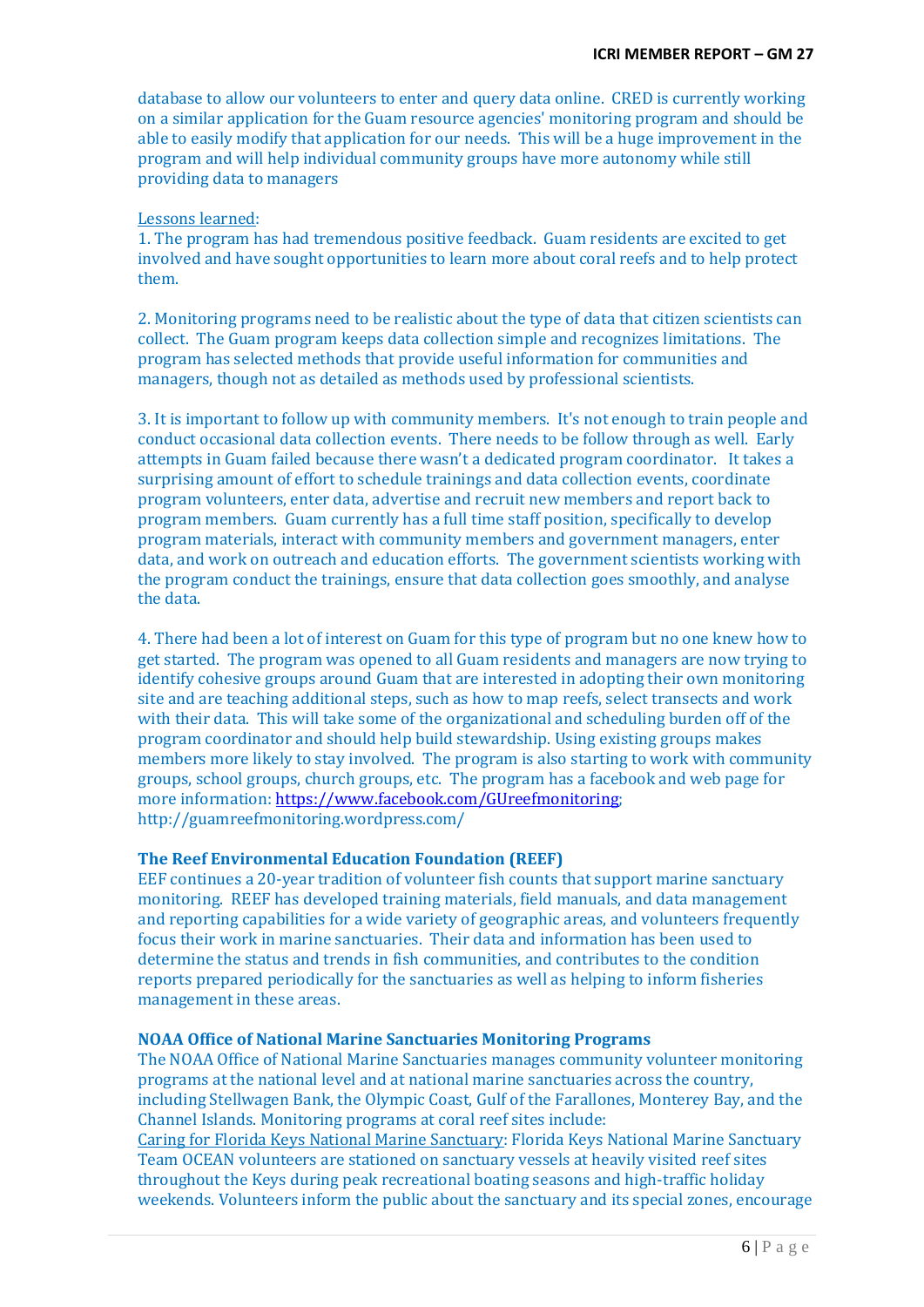database to allow our volunteers to enter and query data online. CRED is currently working on a similar application for the Guam resource agencies' monitoring program and should be able to easily modify that application for our needs. This will be a huge improvement in the program and will help individual community groups have more autonomy while still providing data to managers

#### Lessons learned:

1. The program has had tremendous positive feedback. Guam residents are excited to get involved and have sought opportunities to learn more about coral reefs and to help protect them.

2. Monitoring programs need to be realistic about the type of data that citizen scientists can collect. The Guam program keeps data collection simple and recognizes limitations. The program has selected methods that provide useful information for communities and managers, though not as detailed as methods used by professional scientists.

3. It is important to follow up with community members. It's not enough to train people and conduct occasional data collection events. There needs to be follow through as well. Early attempts in Guam failed because there wasn't a dedicated program coordinator. It takes a surprising amount of effort to schedule trainings and data collection events, coordinate program volunteers, enter data, advertise and recruit new members and report back to program members. Guam currently has a full time staff position, specifically to develop program materials, interact with community members and government managers, enter data, and work on outreach and education efforts. The government scientists working with the program conduct the trainings, ensure that data collection goes smoothly, and analyse the data.

4. There had been a lot of interest on Guam for this type of program but no one knew how to get started. The program was opened to all Guam residents and managers are now trying to identify cohesive groups around Guam that are interested in adopting their own monitoring site and are teaching additional steps, such as how to map reefs, select transects and work with their data. This will take some of the organizational and scheduling burden off of the program coordinator and should help build stewardship. Using existing groups makes members more likely to stay involved. The program is also starting to work with community groups, school groups, church groups, etc. The program has a facebook and web page for more information: [https://www.facebook.com/GUreefmonitoring;](https://www.facebook.com/GUreefmonitoring) http://guamreefmonitoring.wordpress.com/

### **The Reef Environmental Education Foundation (REEF)**

EEF continues a 20-year tradition of volunteer fish counts that support marine sanctuary monitoring. REEF has developed training materials, field manuals, and data management and reporting capabilities for a wide variety of geographic areas, and volunteers frequently focus their work in marine sanctuaries. Their data and information has been used to determine the status and trends in fish communities, and contributes to the condition reports prepared periodically for the sanctuaries as well as helping to inform fisheries management in these areas.

#### **NOAA Office of National Marine Sanctuaries Monitoring Programs**

The NOAA Office of National Marine Sanctuaries manages community volunteer monitoring programs at the national level and at national marine sanctuaries across the country, including Stellwagen Bank, the Olympic Coast, Gulf of the Farallones, Monterey Bay, and the Channel Islands. Monitoring programs at coral reef sites include:

Caring for Florida Keys National Marine Sanctuary: Florida Keys National Marine Sanctuary Team OCEAN volunteers are stationed on sanctuary vessels at heavily visited reef sites throughout the Keys during peak recreational boating seasons and high-traffic holiday weekends. Volunteers inform the public about the sanctuary and its special zones, encourage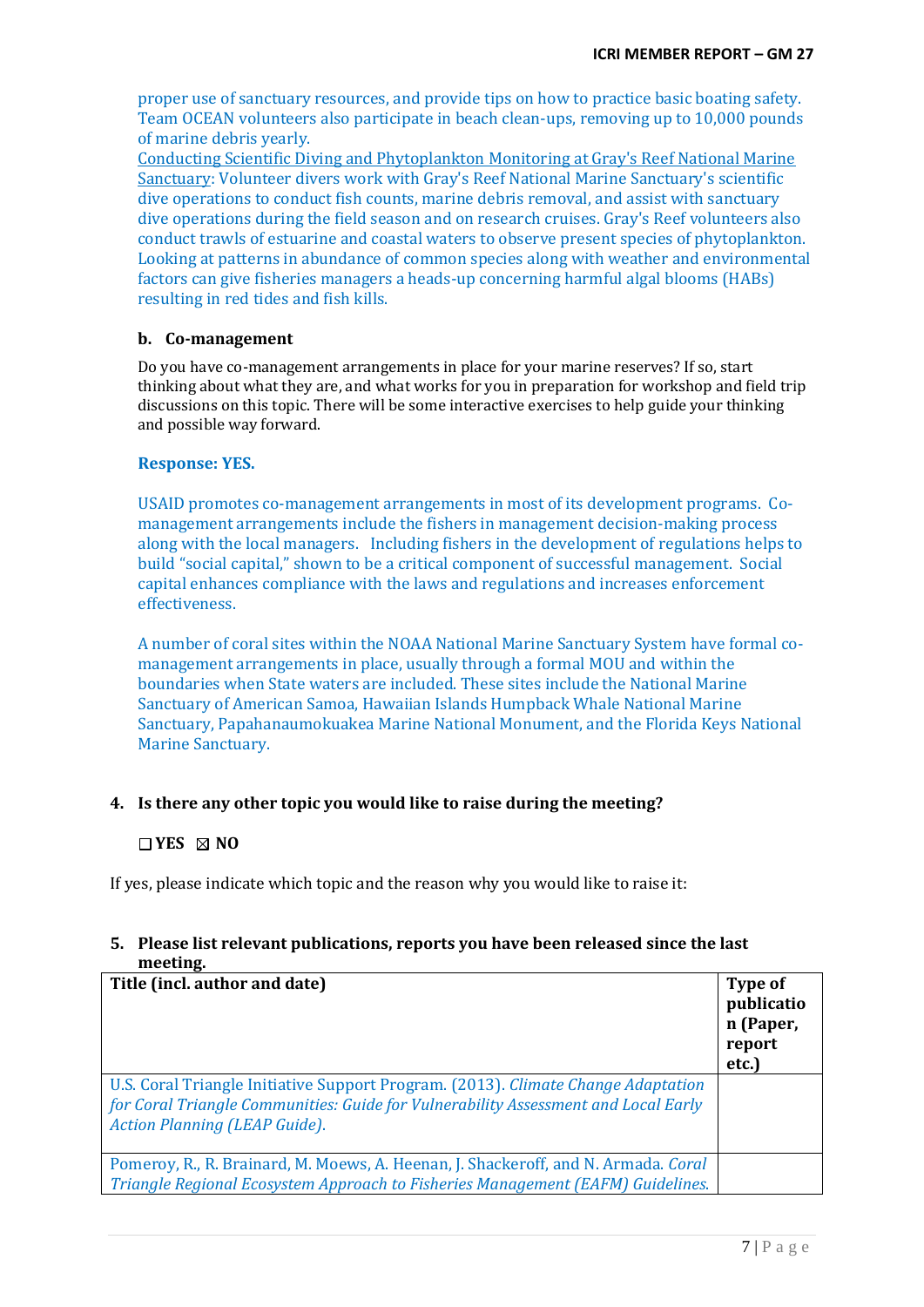proper use of sanctuary resources, and provide tips on how to practice basic boating safety. Team OCEAN volunteers also participate in beach clean-ups, removing up to 10,000 pounds of marine debris yearly.

Conducting Scientific Diving and Phytoplankton Monitoring at Gray's Reef National Marine Sanctuary: Volunteer divers work with Gray's Reef National Marine Sanctuary's scientific dive operations to conduct fish counts, marine debris removal, and assist with sanctuary dive operations during the field season and on research cruises. Gray's Reef volunteers also conduct trawls of estuarine and coastal waters to observe present species of phytoplankton. Looking at patterns in abundance of common species along with weather and environmental factors can give fisheries managers a heads-up concerning harmful algal blooms (HABs) resulting in red tides and fish kills.

### **b. Co-management**

Do you have co-management arrangements in place for your marine reserves? If so, start thinking about what they are, and what works for you in preparation for workshop and field trip discussions on this topic. There will be some interactive exercises to help guide your thinking and possible way forward.

### **Response: YES.**

USAID promotes co-management arrangements in most of its development programs. Comanagement arrangements include the fishers in management decision-making process along with the local managers. Including fishers in the development of regulations helps to build "social capital," shown to be a critical component of successful management. Social capital enhances compliance with the laws and regulations and increases enforcement effectiveness.

A number of coral sites within the NOAA National Marine Sanctuary System have formal comanagement arrangements in place, usually through a formal MOU and within the boundaries when State waters are included. These sites include the National Marine Sanctuary of American Samoa, Hawaiian Islands Humpback Whale National Marine Sanctuary, Papahanaumokuakea Marine National Monument, and the Florida Keys National Marine Sanctuary.

# **4. Is there any other topic you would like to raise during the meeting?**

### **YES NO**

If yes, please indicate which topic and the reason why you would like to raise it:

# **5. Please list relevant publications, reports you have been released since the last meeting.**

| Title (incl. author and date)                                                                                                                                                                                   | Type of<br>publicatio<br>n (Paper,<br>report<br>etc.) |
|-----------------------------------------------------------------------------------------------------------------------------------------------------------------------------------------------------------------|-------------------------------------------------------|
| U.S. Coral Triangle Initiative Support Program. (2013). Climate Change Adaptation<br>for Coral Triangle Communities: Guide for Vulnerability Assessment and Local Early<br><b>Action Planning (LEAP Guide).</b> |                                                       |
| Pomeroy, R., R. Brainard, M. Moews, A. Heenan, J. Shackeroff, and N. Armada. Coral<br>Triangle Regional Ecosystem Approach to Fisheries Management (EAFM) Guidelines.                                           |                                                       |